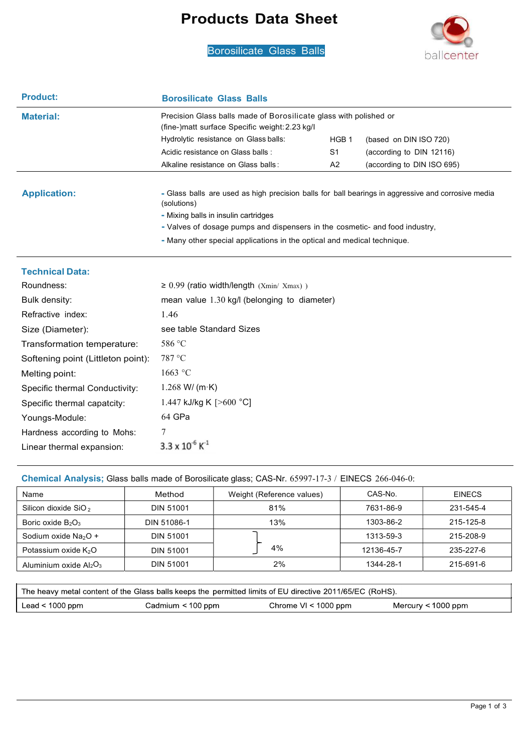### Products Data Sheet

Borosilicate Glass Balls<br>
Borosilicate Glass Balls



| <b>Product:</b>        | <b>Borosilicate Glass Balls</b>                                                                                                                                                                                                                                                                                     |                  |                            |  |  |  |  |  |
|------------------------|---------------------------------------------------------------------------------------------------------------------------------------------------------------------------------------------------------------------------------------------------------------------------------------------------------------------|------------------|----------------------------|--|--|--|--|--|
| <b>Material:</b>       | Precision Glass balls made of Borosilicate glass with polished or<br>(fine-)matt surface Specific weight: 2.23 kg/l)                                                                                                                                                                                                |                  |                            |  |  |  |  |  |
|                        | Hydrolytic resistance on Glass balls:                                                                                                                                                                                                                                                                               | HGB <sub>1</sub> | (based on DIN ISO 720)     |  |  |  |  |  |
|                        | Acidic resistance on Glass balls :                                                                                                                                                                                                                                                                                  | S1               | (according to DIN 12116)   |  |  |  |  |  |
|                        | Alkaline resistance on Glass balls:                                                                                                                                                                                                                                                                                 | A2               | (according to DIN ISO 695) |  |  |  |  |  |
| <b>Application:</b>    | - Glass balls are used as high precision balls for ball bearings in aggressive and corrosive media<br>(solutions)<br>- Mixing balls in insulin cartridges<br>- Valves of dosage pumps and dispensers in the cosmetic- and food industry,<br>- Many other special applications in the optical and medical technique. |                  |                            |  |  |  |  |  |
| <b>Technical Data:</b> |                                                                                                                                                                                                                                                                                                                     |                  |                            |  |  |  |  |  |
| Roundness:             | $\geq$ 0.99 (ratio width/length (Xmin/ Xmax))                                                                                                                                                                                                                                                                       |                  |                            |  |  |  |  |  |
| Bulk density:          | mean value $1.30$ kg/l (belonging to diameter)                                                                                                                                                                                                                                                                      |                  |                            |  |  |  |  |  |
| Refractive index:      | 1.46                                                                                                                                                                                                                                                                                                                |                  |                            |  |  |  |  |  |

|  |  |  | Chemical Analysis; Glass balls made of Borosilicate glass; CAS-Nr. 65997-17-3 / EINECS 266-046-0: |
|--|--|--|---------------------------------------------------------------------------------------------------|

see table Standard Sizes

1.447 kJ/kg K [>600 °C]

586 °C 787 °C 1663 °C

64 GPa

7

1.268 W/ (m·K)

Size (Diameter):

Melting point:

Youngs-Module:

Transformation temperature: Softening point (Littleton point):

Specific thermal Conductivity: Specific thermal capatcity:

Hardness according to Mohs:

Linear thermal expansion:  $3.3 \times 10^{-6}$  K<sup>-1</sup>

| Name                             | Method           | Weight (Reference values) | CAS-No.    | <b>EINECS</b> |
|----------------------------------|------------------|---------------------------|------------|---------------|
| Silicon dioxide SiO <sub>2</sub> | <b>DIN 51001</b> | 81%                       | 7631-86-9  | 231-545-4     |
| Boric oxide $B_2O_3$             | DIN 51086-1      | 13%                       | 1303-86-2  | 215-125-8     |
| Sodium oxide $Na2O +$            | <b>DIN 51001</b> |                           | 1313-59-3  | 215-208-9     |
| Potassium oxide K <sub>2</sub> O | <b>DIN 51001</b> | 4%                        | 12136-45-7 | 235-227-6     |
| Aluminium oxide $Al_2O_3$        | <b>DIN 51001</b> | 2%                        | 1344-28-1  | 215-691-6     |

|                   |                        | The heavy metal content of the Glass balls keeps the permitted limits of EU directive 2011/65/EC (RoHS). |                    |
|-------------------|------------------------|----------------------------------------------------------------------------------------------------------|--------------------|
| Lead $< 1000$ ppm | Cadmium $\leq 100$ ppm | Chrome $VI < 1000$ ppm                                                                                   | Mercury < 1000 ppm |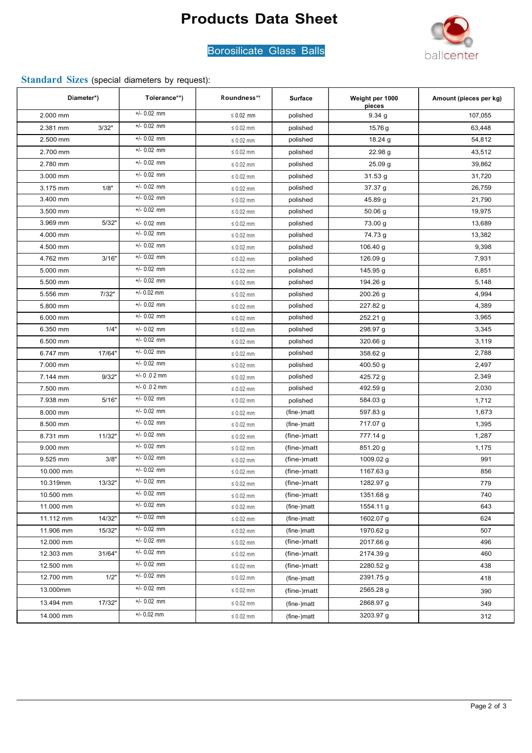# Products Data Sheet



### Borosilicate Glass Balls

### Standard Sizes (special diameters by request):

| Diameter*) |        | Tolerance**)  | Roundness**    | <b>Surface</b> | Weight per 1000<br>pieces | Amount (pieces per kg) |
|------------|--------|---------------|----------------|----------------|---------------------------|------------------------|
| 2.000 mm   |        | $+/- 0.02$ mm | $\leq 0.02$ mm | polished       | 9.34 g                    | 107,055                |
| 2.381 mm   | 3/32"  | $+/- 0.02$ mm | $\leq 0.02$ mm | polished       | 15.76 g                   | 63,448                 |
| 2.500 mm   |        | $+/- 0.02$ mm | $\leq 0.02$ mm | polished       | 18.24 g                   | 54,812                 |
| 2.700 mm   |        | $+/- 0.02$ mm | $\leq 0.02$ mm | polished       | 22.98 g                   | 43,512                 |
| 2.780 mm   |        | $+/- 0.02$ mm | $\leq 0.02$ mm | polished       | 25.09 g                   | 39,862                 |
| 3.000 mm   |        | $+/- 0.02$ mm | $\leq 0.02$ mm | polished       | 31.53g                    | 31,720                 |
| 3.175 mm   | 1/8"   | $+/- 0.02$ mm | $\leq 0.02$ mm | polished       | 37.37 g                   | 26,759                 |
| 3.400 mm   |        | $+/- 0.02$ mm | $\leq 0.02$ mm | polished       | 45.89 g                   | 21,790                 |
| 3.500 mm   |        | $+/- 0.02$ mm | $\leq 0.02$ mm | polished       | $50.06$ g                 | 19,975                 |
| 3.969 mm   | 5/32"  | $+/- 0.02$ mm | $\leq 0.02$ mm | polished       | 73.00 g                   | 13,689                 |
| 4.000 mm   |        | $+/- 0.02$ mm | $\leq 0.02$ mm | polished       | 74.73 g                   | 13,382                 |
| 4.500 mm   |        | $+/- 0.02$ mm | $\leq 0.02$ mm | polished       | 106.40 g                  | 9,398                  |
| 4.762 mm   | 3/16"  | $+/- 0.02$ mm | $\leq 0.02$ mm | polished       | 126.09 g                  | 7,931                  |
| 5.000 mm   |        | $+/- 0.02$ mm | $\leq 0.02$ mm | polished       | 145.95 g                  | 6,851                  |
| 5.500 mm   |        | $+/- 0.02$ mm | $\leq 0.02$ mm | polished       | 194.26 g                  | 5,148                  |
| 5.556 mm   | 7/32"  | $+/- 0.02$ mm | $\leq 0.02$ mm | polished       | 200.26 g                  | 4,994                  |
| 5.800 mm   |        | $+/- 0.02$ mm | $\leq 0.02$ mm | polished       | 227.82 g                  | 4,389                  |
| 6.000 mm   |        | $+/- 0.02$ mm | $\leq 0.02$ mm | polished       | 252.21 g                  | 3,965                  |
| 6.350 mm   | 1/4"   | $+/- 0.02$ mm | $\leq 0.02$ mm | polished       | 298.97 g                  | 3,345                  |
| 6.500 mm   |        | $+/- 0.02$ mm | $\leq 0.02$ mm | polished       | 320.66 g                  | 3,119                  |
| 6.747 mm   | 17/64" | $+/- 0.02$ mm | $\leq 0.02$ mm | polished       | 358.62 g                  | 2,788                  |
| 7.000 mm   |        | $+/- 0.02$ mm | $\leq 0.02$ mm | polished       | 400.50 g                  | 2,497                  |
| 7.144 mm   | 9/32"  | $+/- 0.02$ mm | $\leq 0.02$ mm | polished       | 425.72 g                  | 2,349                  |
| 7.500 mm   |        | $+/- 0.02$ mm | $\leq 0.02$ mm | polished       | 492.59 g                  | 2,030                  |
| 7.938 mm   | 5/16"  | $+/- 0.02$ mm | $\leq 0.02$ mm | polished       | 584.03 g                  | 1,712                  |
| 8.000 mm   |        | $+/- 0.02$ mm | $\leq 0.02$ mm | (fine-)matt    | 597.83 g                  | 1,673                  |
| 8.500 mm   |        | $+/- 0.02$ mm | $\leq 0.02$ mm | (fine-)matt    | 717.07 g                  | 1,395                  |
| 8.731 mm   | 11/32" | $+/- 0.02$ mm | $\leq 0.02$ mm | (fine-)matt    | 777.14 g                  | 1,287                  |
| 9.000 mm   |        | $+/- 0.02$ mm | $\leq 0.02$ mm | (fine-)matt    | 851.20 g                  | 1,175                  |
| 9.525 mm   | 3/8"   | $+/- 0.02$ mm | $\leq 0.02$ mm | (fine-)matt    | 1009.02 g                 | 991                    |
| 10.000 mm  |        | $+/- 0.02$ mm | $\leq 0.02$ mm | (fine-)matt    | 1167.63 g                 | 856                    |
| 10.319mm   | 13/32" | $+/- 0.02$ mm | $\leq 0.02$ mm | (fine-)matt    | 1282.97 g                 | 779                    |
| 10.500 mm  |        | $+/- 0.02$ mm | $\leq 0.02$ mm | (fine-)matt    | 1351.68 g                 | 740                    |
| 11.000 mm  |        | $+/- 0.02$ mm | $\leq 0.02$ mm | (fine-)matt    | 1554.11 g                 | 643                    |
| 11.112 mm  | 14/32" | $+/- 0.02$ mm | $\leq 0.02$ mm | (fine-)matt    | 1602.07 g                 | 624                    |
| 11.906 mm  | 15/32" | $+/- 0.02$ mm | $\leq 0.02$ mm | (fine-)matt    | 1970.62 g                 | 507                    |
| 12.000 mm  |        | $+/- 0.02$ mm | $\leq 0.02$ mm | (fine-)matt    | 2017.66 g                 | 496                    |
| 12.303 mm  | 31/64" | $+/- 0.02$ mm | $\leq 0.02$ mm | (fine-)matt    | 2174.39 g                 | 460                    |
| 12.500 mm  |        | $+/- 0.02$ mm | $\leq 0.02$ mm | (fine-)matt    | 2280.52 g                 | 438                    |
| 12.700 mm  | 1/2"   | $+/- 0.02$ mm | $\leq 0.02$ mm | (fine-)matt    | 2391.75 g                 | 418                    |
| 13.000mm   |        | $+/- 0.02$ mm | $\leq 0.02$ mm | (fine-)matt    | 2565.28 g                 | 390                    |
| 13.494 mm  | 17/32" | $+/- 0.02$ mm | $\leq 0.02$ mm | (fine-)matt    | 2868.97 g                 | 349                    |
| 14.000 mm  |        | $+/- 0.02$ mm | $\leq 0.02$ mm | (fine-)matt    | 3203.97 g                 | 312                    |
|            |        |               |                |                |                           |                        |